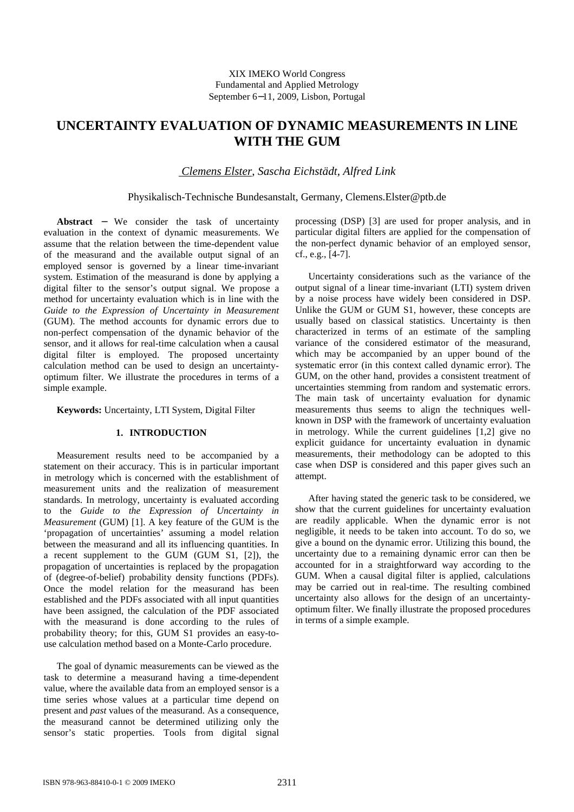# **UNCERTAINTY EVALUATION OF DYNAMIC MEASUREMENTS IN LINE WITH THE GUM**

 *Clemens Elster, Sascha Eichstädt, Alfred Link* 

Physikalisch-Technische Bundesanstalt, Germany, Clemens.Elster@ptb.de

**Abstract** − We consider the task of uncertainty evaluation in the context of dynamic measurements. We assume that the relation between the time-dependent value of the measurand and the available output signal of an employed sensor is governed by a linear time-invariant system. Estimation of the measurand is done by applying a digital filter to the sensor's output signal. We propose a method for uncertainty evaluation which is in line with the *Guide to the Expression of Uncertainty in Measurement* (GUM). The method accounts for dynamic errors due to non-perfect compensation of the dynamic behavior of the sensor, and it allows for real-time calculation when a causal digital filter is employed. The proposed uncertainty calculation method can be used to design an uncertaintyoptimum filter. We illustrate the procedures in terms of a simple example.

**Keywords:** Uncertainty, LTI System, Digital Filter

## **1. INTRODUCTION**

Measurement results need to be accompanied by a statement on their accuracy. This is in particular important in metrology which is concerned with the establishment of measurement units and the realization of measurement standards. In metrology, uncertainty is evaluated according to the *Guide to the Expression of Uncertainty in Measurement* (GUM) [1]. A key feature of the GUM is the 'propagation of uncertainties' assuming a model relation between the measurand and all its influencing quantities. In a recent supplement to the GUM (GUM S1, [2]), the propagation of uncertainties is replaced by the propagation of (degree-of-belief) probability density functions (PDFs). Once the model relation for the measurand has been established and the PDFs associated with all input quantities have been assigned, the calculation of the PDF associated with the measurand is done according to the rules of probability theory; for this, GUM S1 provides an easy-touse calculation method based on a Monte-Carlo procedure.

The goal of dynamic measurements can be viewed as the task to determine a measurand having a time-dependent value, where the available data from an employed sensor is a time series whose values at a particular time depend on present and *past* values of the measurand. As a consequence, the measurand cannot be determined utilizing only the sensor's static properties. Tools from digital signal processing (DSP) [3] are used for proper analysis, and in particular digital filters are applied for the compensation of the non-perfect dynamic behavior of an employed sensor, cf., e.g., [4-7].

Uncertainty considerations such as the variance of the output signal of a linear time-invariant (LTI) system driven by a noise process have widely been considered in DSP. Unlike the GUM or GUM S1, however, these concepts are usually based on classical statistics. Uncertainty is then characterized in terms of an estimate of the sampling variance of the considered estimator of the measurand, which may be accompanied by an upper bound of the systematic error (in this context called dynamic error). The GUM, on the other hand, provides a consistent treatment of uncertainties stemming from random and systematic errors. The main task of uncertainty evaluation for dynamic measurements thus seems to align the techniques wellknown in DSP with the framework of uncertainty evaluation in metrology. While the current guidelines [1,2] give no explicit guidance for uncertainty evaluation in dynamic measurements, their methodology can be adopted to this case when DSP is considered and this paper gives such an attempt.

After having stated the generic task to be considered, we show that the current guidelines for uncertainty evaluation are readily applicable. When the dynamic error is not negligible, it needs to be taken into account. To do so, we give a bound on the dynamic error. Utilizing this bound, the uncertainty due to a remaining dynamic error can then be accounted for in a straightforward way according to the GUM. When a causal digital filter is applied, calculations may be carried out in real-time. The resulting combined uncertainty also allows for the design of an uncertaintyoptimum filter. We finally illustrate the proposed procedures in terms of a simple example.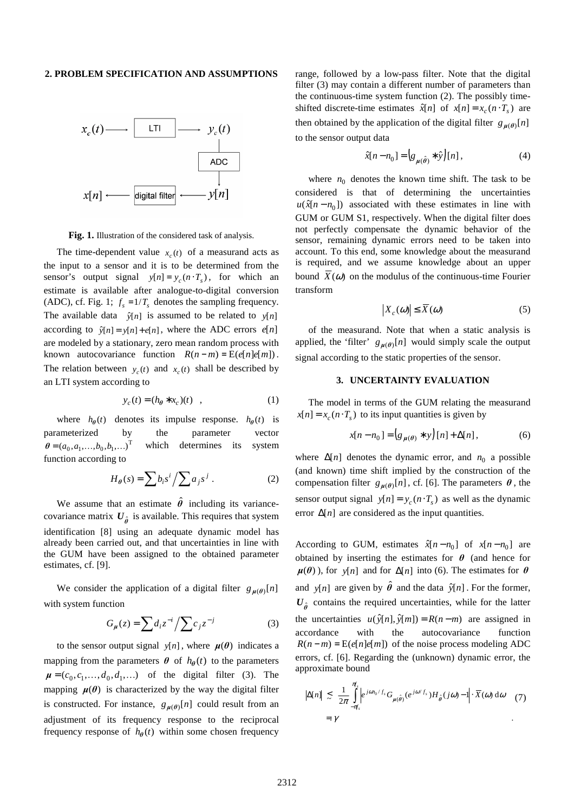#### **2. PROBLEM SPECIFICATION AND ASSUMPTIONS**



**Fig. 1.** Illustration of the considered task of analysis.

The time-dependent value  $x_c(t)$  of a measurand acts as the input to a sensor and it is to be determined from the sensor's output signal  $y[n] = y_c(n \cdot T_s)$ , for which an estimate is available after analogue-to-digital conversion (ADC), cf. Fig. 1;  $f_s = 1/T_s$  denotes the sampling frequency. The available data  $\hat{y}[n]$  is assumed to be related to  $y[n]$ according to  $\hat{y}[n] = y[n] + e[n]$ , where the ADC errors  $e[n]$ are modeled by a stationary, zero mean random process with known autocovariance function  $R(n-m) = E(e[n]e[m])$ . The relation between  $y_c(t)$  and  $x_c(t)$  shall be described by an LTI system according to

$$
y_c(t) = (h_{\theta} * x_c)(t) , \qquad (1)
$$

where  $h_{\theta}(t)$  denotes its impulse response.  $h_{\theta}(t)$  is parameterized by the parameter vector  $\theta = (a_0, a_1, \dots, b_0, b_1, \dots)^T$  which determines its system function according to

$$
H_{\theta}(s) = \sum b_i s^i / \sum a_j s^j . \qquad (2)
$$

We assume that an estimate  $\hat{\theta}$  including its variancecovariance matrix  $U_{\hat{\theta}}$  is available. This requires that system identification [8] using an adequate dynamic model has already been carried out, and that uncertainties in line with the GUM have been assigned to the obtained parameter estimates, cf. [9].

We consider the application of a digital filter  $g_{\mu(\theta)}[n]$ with system function

$$
G_{\mu}(z) = \sum d_i z^{-i} / \sum c_j z^{-j}
$$
 (3)

to the sensor output signal  $y[n]$ , where  $\mu(\theta)$  indicates a mapping from the parameters  $\theta$  of  $h_{\theta}(t)$  to the parameters  $\mu = (c_0, c_1, \dots, d_0, d_1, \dots)$  of the digital filter (3). The mapping  $\mu(\theta)$  is characterized by the way the digital filter is constructed. For instance,  $g_{\mu(\theta)}[n]$  could result from an adjustment of its frequency response to the reciprocal frequency response of  $h_{\theta}(t)$  within some chosen frequency range, followed by a low-pass filter. Note that the digital filter (3) may contain a different number of parameters than the continuous-time system function (2). The possibly timeshifted discrete-time estimates  $\hat{x}[n]$  of  $x[n] = x_c(n \cdot T_s)$  are then obtained by the application of the digital filter  $g_{\mu(\theta)}[n]$ to the sensor output data

$$
\hat{x}[n - n_0] = \left(g_{\mu(\hat{\theta})} * \hat{y}\right)[n],\tag{4}
$$

where  $n_0$  denotes the known time shift. The task to be considered is that of determining the uncertainties  $u(\hat{x}[n - n_0])$  associated with these estimates in line with GUM or GUM S1, respectively. When the digital filter does not perfectly compensate the dynamic behavior of the sensor, remaining dynamic errors need to be taken into account. To this end, some knowledge about the measurand is required, and we assume knowledge about an upper bound  $X(\omega)$  on the modulus of the continuous-time Fourier transform

$$
\left|X_c(\omega)\right| \le \overline{X}(\omega) \tag{5}
$$

of the measurand. Note that when a static analysis is applied, the 'filter'  $g_{\mu(\theta)}[n]$  would simply scale the output signal according to the static properties of the sensor.

### **3. UNCERTAINTY EVALUATION**

The model in terms of the GUM relating the measurand  $x[n] = x_c(n \cdot T_s)$  to its input quantities is given by

$$
x[n - n_0] = (g_{\mu(\theta)} * y)[n] + \Delta[n],
$$
 (6)

where  $\Delta[n]$  denotes the dynamic error, and  $n_0$  a possible (and known) time shift implied by the construction of the compensation filter  $g_{\mu(\theta)}[n]$ , cf. [6]. The parameters  $\theta$ , the sensor output signal  $y[n] = y_c(n \cdot T_s)$  as well as the dynamic error  $\Delta[n]$  are considered as the input quantities.

According to GUM, estimates  $\hat{x}[n - n_0]$  of  $x[n - n_0]$  are obtained by inserting the estimates for  $\theta$  (and hence for  $\mu(\theta)$ ), for *y*[*n*] and for  $\Delta[n]$  into (6). The estimates for  $\theta$ and  $y[n]$  are given by  $\hat{\theta}$  and the data  $\hat{y}[n]$ . For the former,  $U_{\hat{\theta}}$  contains the required uncertainties, while for the latter the uncertainties  $u(\hat{y}[n], \hat{y}[m]) = R(n-m)$  are assigned in accordance with the autocovariance function  $R(n-m) = E(e[n]e[m])$  of the noise process modeling ADC errors, cf. [6]. Regarding the (unknown) dynamic error, the approximate bound

$$
\left|\Delta[n]\right| \lesssim \frac{1}{2\pi} \int_{-\pi_s}^{\pi_s} \left|e^{j\omega n_0/f_s} G_{\mu(\hat{\theta})}(e^{j\omega/f_s}) H_{\hat{\theta}}(j\omega) - 1\right| \cdot \overline{X}(\omega) d\omega \quad (7)
$$
  
=  $\gamma$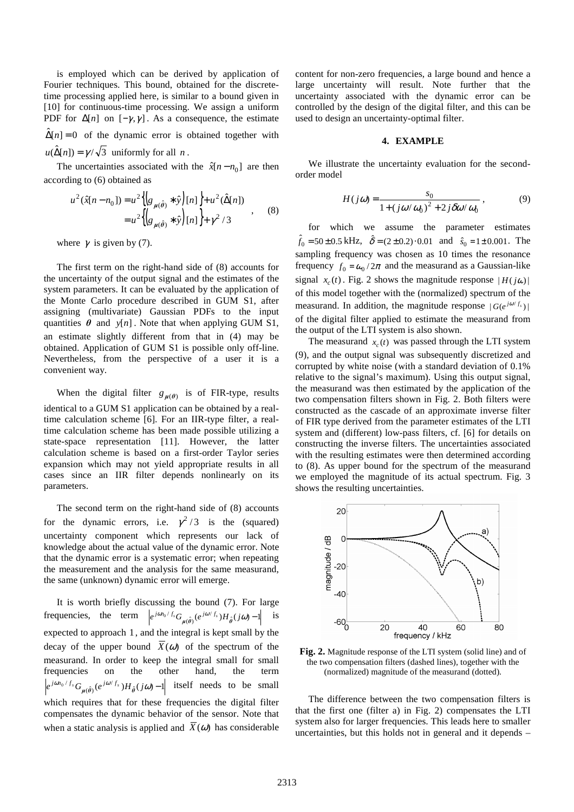is employed which can be derived by application of Fourier techniques. This bound, obtained for the discretetime processing applied here, is similar to a bound given in [10] for continuous-time processing. We assign a uniform PDF for  $\Delta[n]$  on  $[-\gamma, \gamma]$ . As a consequence, the estimate  $\hat{\Delta}[n] = 0$  of the dynamic error is obtained together with  $u(\hat{\Delta}[n]) = \gamma/\sqrt{3}$  uniformly for all *n*.

The uncertainties associated with the  $\hat{x}[n - n_0]$  are then according to (6) obtained as

$$
u^{2}(\hat{x}[n-n_{0}]) = u^{2}\left\{g_{\mu(\hat{\theta})} * \hat{y}\right\}[n]\right\} + u^{2}(\hat{\Delta}[n])
$$
  
= 
$$
u^{2}\left\{g_{\mu(\hat{\theta})} * \hat{y}\right\}[n]\right\} + \gamma^{2}/3
$$
 (8)

where  $\gamma$  is given by (7).

The first term on the right-hand side of (8) accounts for the uncertainty of the output signal and the estimates of the system parameters. It can be evaluated by the application of the Monte Carlo procedure described in GUM S1, after assigning (multivariate) Gaussian PDFs to the input quantities  $\theta$  and  $y[n]$ . Note that when applying GUM S1, an estimate slightly different from that in (4) may be obtained. Application of GUM S1 is possible only off-line. Nevertheless, from the perspective of a user it is a convenient way.

When the digital filter  $g_{\mu(\theta)}$  is of FIR-type, results identical to a GUM S1 application can be obtained by a realtime calculation scheme [6]. For an IIR-type filter, a realtime calculation scheme has been made possible utilizing a state-space representation [11]. However, the latter calculation scheme is based on a first-order Taylor series expansion which may not yield appropriate results in all cases since an IIR filter depends nonlinearly on its parameters.

The second term on the right-hand side of (8) accounts for the dynamic errors, i.e.  $\gamma^2/3$  is the (squared) uncertainty component which represents our lack of knowledge about the actual value of the dynamic error. Note that the dynamic error is a systematic error; when repeating the measurement and the analysis for the same measurand, the same (unknown) dynamic error will emerge.

It is worth briefly discussing the bound (7). For large frequencies, the term  $\left| e^{j\omega t_0 / f_s} G_{\mu(\hat{\theta})} (e^{j\omega / f_s}) H_{\hat{\theta}}(j\omega) - 1 \right|$  is expected to approach 1, and the integral is kept small by the decay of the upper bound  $X(\omega)$  of the spectrum of the measurand. In order to keep the integral small for small frequencies on the other hand, the term  $(e^{j\omega/f_s})H_{\hat{\theta}}(j\omega) - 1$  $e^{j\omega n_0/f_s}G_{\mu(\hat{\theta})}(e^{j\omega/f_s})H_{\hat{\theta}}(j\omega) _{\mu(\hat{\theta})}(e^{j\omega/f_s})H_{\hat{\theta}}(j\omega)$  -1 itself needs to be small which requires that for these frequencies the digital filter compensates the dynamic behavior of the sensor. Note that when a static analysis is applied and  $\overline{X}(\omega)$  has considerable

content for non-zero frequencies, a large bound and hence a large uncertainty will result. Note further that the uncertainty associated with the dynamic error can be controlled by the design of the digital filter, and this can be used to design an uncertainty-optimal filter.

## **4. EXAMPLE**

We illustrate the uncertainty evaluation for the secondorder model

$$
H(j\omega) = \frac{s_0}{1 + (j\omega/\omega_0)^2 + 2j\delta\omega/\omega_0},
$$
\n(9)

for which we assume the parameter estimates  $\hat{f}_0 = 50 \pm 0.5$  kHz,  $\hat{\delta} = (2 \pm 0.2) \cdot 0.01$  and  $\hat{s}_0 = 1 \pm 0.001$ . The sampling frequency was chosen as 10 times the resonance frequency  $f_0 = \omega_0 / 2\pi$  and the measurand as a Gaussian-like signal  $x_c(t)$ . Fig. 2 shows the magnitude response  $|H(j\omega)|$ of this model together with the (normalized) spectrum of the measurand. In addition, the magnitude response  $|G(e^{j\omega/f_s})|$ of the digital filter applied to estimate the measurand from the output of the LTI system is also shown.

The measurand  $x_c(t)$  was passed through the LTI system (9), and the output signal was subsequently discretized and corrupted by white noise (with a standard deviation of 0.1% relative to the signal's maximum). Using this output signal, the measurand was then estimated by the application of the two compensation filters shown in Fig. 2. Both filters were constructed as the cascade of an approximate inverse filter of FIR type derived from the parameter estimates of the LTI system and (different) low-pass filters, cf. [6] for details on constructing the inverse filters. The uncertainties associated with the resulting estimates were then determined according to (8). As upper bound for the spectrum of the measurand we employed the magnitude of its actual spectrum. Fig. 3 shows the resulting uncertainties.



**Fig. 2.** Magnitude response of the LTI system (solid line) and of the two compensation filters (dashed lines), together with the (normalized) magnitude of the measurand (dotted).

The difference between the two compensation filters is that the first one (filter a) in Fig. 2) compensates the LTI system also for larger frequencies. This leads here to smaller uncertainties, but this holds not in general and it depends –